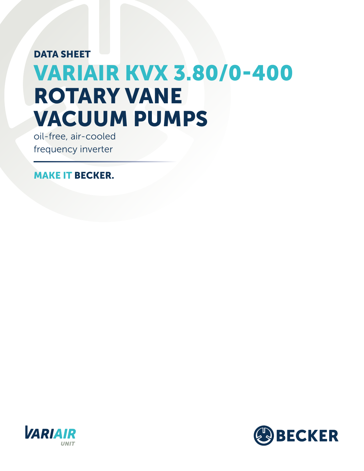## DATA SHEET VARIAIR KVX 3.80/0-400 ROTARY VANE VACUUM PUMPS

oil-free, air-cooled frequency inverter

MAKE IT BECKER.



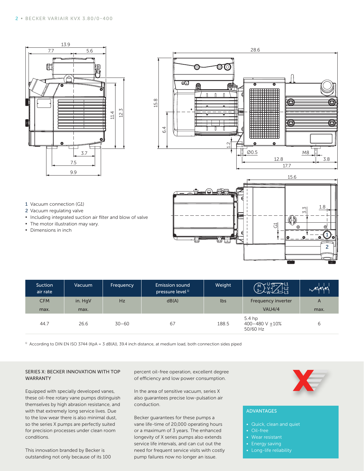



- 1 Vacuum connection (G1) 2 Vacuum regulating valve
- **▪** Including integrated suction air filter and blow of valve
- **•** The motor illustration may vary.
- **▪** Dimensions in inch



| Suction<br>air rate | Vacuum  | Frequency | <b>Emission sound</b><br>pressure level <sup>1)</sup> | Weight | $\nabla$ -L1<br>$\frac{2}{3}$ -13<br>لم~3.      | ◢▴▴  |
|---------------------|---------|-----------|-------------------------------------------------------|--------|-------------------------------------------------|------|
| <b>CFM</b>          | in. HgV | Hz        | dB(A)                                                 | lbs    | Frequency inverter                              | A    |
| max.                | max.    |           |                                                       |        | <b>VAU4/4</b>                                   | max. |
| 44.7                | 26.6    | $30 - 60$ | 67                                                    | 188.5  | 5.4 <sub>hp</sub><br>400-480 V +10%<br>50/60 Hz | 6    |

<sup>1)</sup> According to DIN EN ISO 3744 (KpA = 3 dB(A)), 39.4 inch distance, at medium load, both connection sides piped

## SERIES X: BECKER INNOVATION WITH TOP WARRANTY

Equipped with specially developed vanes, these oil-free rotary vane pumps distinguish themselves by high abrasion resistance, and with that extremely long service lives. Due to the low wear there is also minimal dust, so the series X pumps are perfectly suited for precision processes under clean room conditions.

This innovation branded by Becker is outstanding not only because of its 100

percent oil-free operation, excellent degree of efficiency and low power consumption.

In the area of sensitive vacuum, series X also guarantees precise low-pulsation air conduction.

Becker guarantees for these pumps a vane life-time of 20,000 operating hours or a maximum of 3 years. The enhanced longevity of X series pumps also extends service life intervals, and can cut out the need for frequent service visits with costly pump failures now no longer an issue.



## ADVANTAGES

- Quick, clean and quiet
- Oil-free
- 
- Energy saving
- Long-life reliability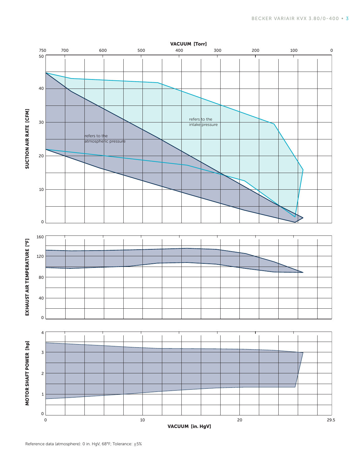